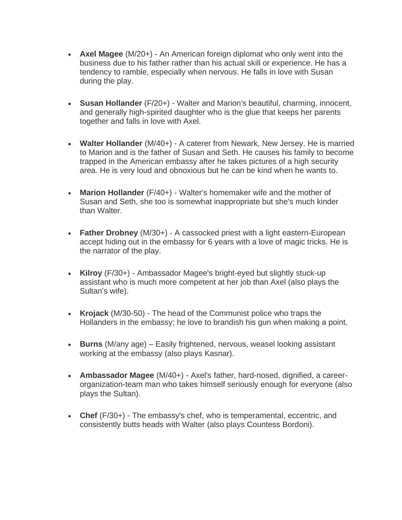- **Axel Magee** (M/20+) An American foreign diplomat who only went into the business due to his father rather than his actual skill or experience. He has a tendency to ramble, especially when nervous. He falls in love with Susan during the play.
- **Susan Hollander** (F/20+) Walter and Marion's beautiful, charming, innocent, and generally high-spirited daughter who is the glue that keeps her parents together and falls in love with Axel.
- **Walter Hollander** (M/40+) A caterer from Newark, New Jersey. He is married to Marion and is the father of Susan and Seth. He causes his family to become trapped in the American embassy after he takes pictures of a high security area. He is very loud and obnoxious but he can be kind when he wants to.
- **Marion Hollander** (F/40+) Walter's homemaker wife and the mother of Susan and Seth, she too is somewhat inappropriate but she's much kinder than Walter.
- **Father Drobney** (M/30+) A cassocked priest with a light eastern-European accept hiding out in the embassy for 6 years with a love of magic tricks. He is the narrator of the play.
- **Kilroy** (F/30+) Ambassador Magee's bright-eyed but slightly stuck-up assistant who is much more competent at her job than Axel (also plays the Sultan's wife).
- **Krojack** (M/30-50) The head of the Communist police who traps the Hollanders in the embassy; he love to brandish his gun when making a point.
- **Burns** (M/any age) Easily frightened, nervous, weasel looking assistant working at the embassy (also plays Kasnar).
- **Ambassador Magee** (M/40+) Axel's father, hard-nosed, dignified, a careerorganization-team man who takes himself seriously enough for everyone (also plays the Sultan).
- **Chef** (F/30+) The embassy's chef, who is temperamental, eccentric, and consistently butts heads with Walter (also plays Countess Bordoni).